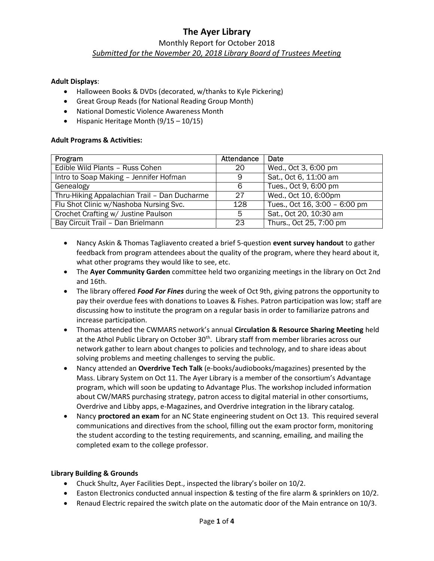## The Ayer Library Monthly Report for October 2018 Submitted for the November 20, 2018 Library Board of Trustees Meeting

#### Adult Displays:

- Halloween Books & DVDs (decorated, w/thanks to Kyle Pickering)
- Great Group Reads (for National Reading Group Month)
- National Domestic Violence Awareness Month
- $\bullet$  Hispanic Heritage Month (9/15 10/15)

#### Adult Programs & Activities:

| Program                                      | Attendance | Date                          |
|----------------------------------------------|------------|-------------------------------|
| Edible Wild Plants - Russ Cohen              | 20         | Wed., Oct 3, 6:00 pm          |
| Intro to Soap Making - Jennifer Hofman       | 9          | Sat., Oct 6, 11:00 am         |
| Genealogy                                    | 6          | Tues., Oct 9, 6:00 pm         |
| Thru-Hiking Appalachian Trail - Dan Ducharme | 27         | Wed., Oct 10, 6:00pm          |
| Flu Shot Clinic w/Nashoba Nursing Svc.       | 128        | Tues., Oct 16, 3:00 - 6:00 pm |
| Crochet Crafting w/ Justine Paulson          | 5          | Sat., Oct 20, 10:30 am        |
| Bay Circuit Trail - Dan Brielmann            | 23         | Thurs., Oct 25, 7:00 pm       |

- Nancy Askin & Thomas Tagliavento created a brief 5-question event survey handout to gather feedback from program attendees about the quality of the program, where they heard about it, what other programs they would like to see, etc.
- The Ayer Community Garden committee held two organizing meetings in the library on Oct 2nd and 16th.
- The library offered Food For Fines during the week of Oct 9th, giving patrons the opportunity to pay their overdue fees with donations to Loaves & Fishes. Patron participation was low; staff are discussing how to institute the program on a regular basis in order to familiarize patrons and increase participation.
- Thomas attended the CWMARS network's annual Circulation & Resource Sharing Meeting held at the Athol Public Library on October 30<sup>th</sup>. Library staff from member libraries across our network gather to learn about changes to policies and technology, and to share ideas about solving problems and meeting challenges to serving the public.
- Nancy attended an Overdrive Tech Talk (e-books/audiobooks/magazines) presented by the Mass. Library System on Oct 11. The Ayer Library is a member of the consortium's Advantage program, which will soon be updating to Advantage Plus. The workshop included information about CW/MARS purchasing strategy, patron access to digital material in other consortiums, Overdrive and Libby apps, e-Magazines, and Overdrive integration in the library catalog.
- Nancy proctored an exam for an NC State engineering student on Oct 13. This required several communications and directives from the school, filling out the exam proctor form, monitoring the student according to the testing requirements, and scanning, emailing, and mailing the completed exam to the college professor.

#### Library Building & Grounds

- Chuck Shultz, Ayer Facilities Dept., inspected the library's boiler on 10/2.
- Easton Electronics conducted annual inspection & testing of the fire alarm & sprinklers on 10/2.
- Renaud Electric repaired the switch plate on the automatic door of the Main entrance on 10/3.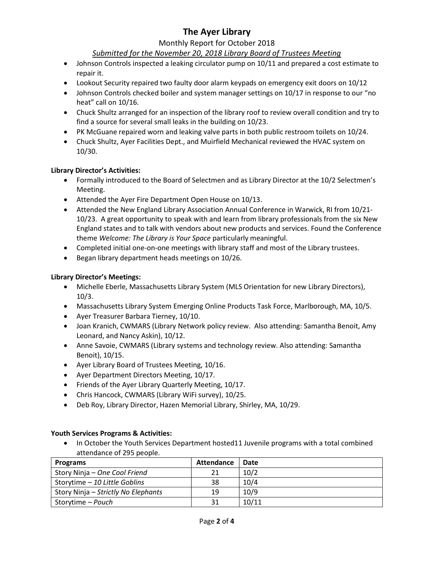# The Ayer Library

### Monthly Report for October 2018

## Submitted for the November 20, 2018 Library Board of Trustees Meeting

- Johnson Controls inspected a leaking circulator pump on 10/11 and prepared a cost estimate to repair it.
- Lookout Security repaired two faulty door alarm keypads on emergency exit doors on 10/12
- Johnson Controls checked boiler and system manager settings on 10/17 in response to our "no heat" call on 10/16.
- Chuck Shultz arranged for an inspection of the library roof to review overall condition and try to find a source for several small leaks in the building on 10/23.
- PK McGuane repaired worn and leaking valve parts in both public restroom toilets on 10/24.
- Chuck Shultz, Ayer Facilities Dept., and Muirfield Mechanical reviewed the HVAC system on 10/30.

### Library Director's Activities:

- Formally introduced to the Board of Selectmen and as Library Director at the 10/2 Selectmen's Meeting.
- Attended the Ayer Fire Department Open House on 10/13.
- Attended the New England Library Association Annual Conference in Warwick, RI from 10/21- 10/23. A great opportunity to speak with and learn from library professionals from the six New England states and to talk with vendors about new products and services. Found the Conference theme Welcome: The Library is Your Space particularly meaningful.
- Completed initial one-on-one meetings with library staff and most of the Library trustees.
- Began library department heads meetings on 10/26.

## Library Director's Meetings:

- Michelle Eberle, Massachusetts Library System (MLS Orientation for new Library Directors), 10/3.
- Massachusetts Library System Emerging Online Products Task Force, Marlborough, MA, 10/5.
- Ayer Treasurer Barbara Tierney, 10/10.
- Joan Kranich, CWMARS (Library Network policy review. Also attending: Samantha Benoit, Amy Leonard, and Nancy Askin), 10/12.
- Anne Savoie, CWMARS (Library systems and technology review. Also attending: Samantha Benoit), 10/15.
- Ayer Library Board of Trustees Meeting, 10/16.
- Ayer Department Directors Meeting, 10/17.
- Friends of the Ayer Library Quarterly Meeting, 10/17.
- Chris Hancock, CWMARS (Library WiFi survey), 10/25.
- Deb Roy, Library Director, Hazen Memorial Library, Shirley, MA, 10/29.

#### Youth Services Programs & Activities:

• In October the Youth Services Department hosted11 Juvenile programs with a total combined attendance of 295 people.

| <b>Programs</b>                     | Attendance | Date  |
|-------------------------------------|------------|-------|
| Story Ninja – One Cool Friend       |            | 10/2  |
| Storytime - 10 Little Goblins       | 38         | 10/4  |
| Story Ninja – Strictly No Elephants | 19         | 10/9  |
| Storytime – Pouch                   | 31         | 10/11 |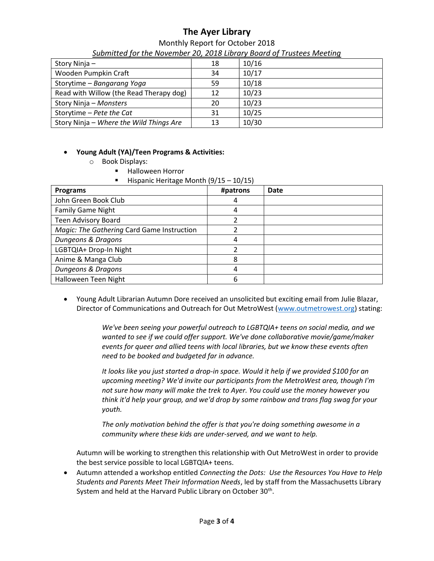# The Ayer Library

| Monthly Report for October 2018                                       |  |
|-----------------------------------------------------------------------|--|
| Submitted for the November 20, 2018 Library Board of Trustees Meeting |  |

| Story Ninja -                           | 18 | 10/16 |
|-----------------------------------------|----|-------|
| Wooden Pumpkin Craft                    | 34 | 10/17 |
| Storytime - Bangarang Yoga              | 59 | 10/18 |
| Read with Willow (the Read Therapy dog) | 12 | 10/23 |
| Story Ninja – Monsters                  | 20 | 10/23 |
| Storytime - Pete the Cat                | 31 | 10/25 |
| Story Ninja - Where the Wild Things Are | 13 | 10/30 |

### Young Adult (YA)/Teen Programs & Activities:

- o Book Displays:
	- **Halloween Horror**
	- Hispanic Heritage Month  $(9/15 10/15)$

| <b>Programs</b>                            | #patrons | Date |
|--------------------------------------------|----------|------|
| John Green Book Club                       | 4        |      |
| <b>Family Game Night</b>                   | 4        |      |
| Teen Advisory Board                        |          |      |
| Magic: The Gathering Card Game Instruction |          |      |
| Dungeons & Dragons                         |          |      |
| LGBTQIA+ Drop-In Night                     |          |      |
| Anime & Manga Club                         | 8        |      |
| Dungeons & Dragons                         |          |      |
| Halloween Teen Night                       | 6        |      |

 Young Adult Librarian Autumn Dore received an unsolicited but exciting email from Julie Blazar, Director of Communications and Outreach for Out MetroWest (www.outmetrowest.org) stating:

> We've been seeing your powerful outreach to LGBTQIA+ teens on social media, and we wanted to see if we could offer support. We've done collaborative movie/game/maker events for queer and allied teens with local libraries, but we know these events often need to be booked and budgeted far in advance.

> It looks like you just started a drop-in space. Would it help if we provided \$100 for an upcoming meeting? We'd invite our participants from the MetroWest area, though I'm not sure how many will make the trek to Ayer. You could use the money however you think it'd help your group, and we'd drop by some rainbow and trans flag swag for your youth.

The only motivation behind the offer is that you're doing something awesome in a community where these kids are under-served, and we want to help.

Autumn will be working to strengthen this relationship with Out MetroWest in order to provide the best service possible to local LGBTQIA+ teens.

• Autumn attended a workshop entitled Connecting the Dots: Use the Resources You Have to Help Students and Parents Meet Their Information Needs, led by staff from the Massachusetts Library System and held at the Harvard Public Library on October 30<sup>th</sup>.